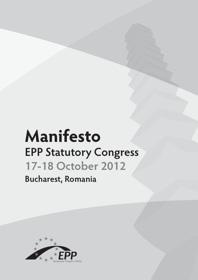# **Manifesto EPP Statutory Congress 17-18 October 2012**

**Bucharest, Romania**

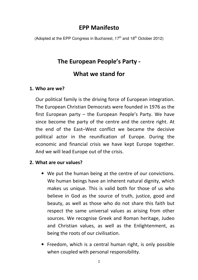## **EPP Manifesto**

(Adopted at the EPP Congress in Bucharest,  $17<sup>th</sup>$  and  $18<sup>th</sup>$  October 2012)

## **The European People's Party -**

## **What we stand for**

#### **1. Who are we?**

Our political family is the driving force of European integration. The European Christian Democrats were founded in 1976 as the first European party – the European People's Party. We have since become the party of the centre and the centre right. At the end of the East–West conflict we became the decisive political actor in the reunification of Europe. During the economic and financial crisis we have kept Europe together. And we will lead Europe out of the crisis.

#### **2. What are our values?**

- We put the human being at the centre of our convictions. We human beings have an inherent natural dignity, which makes us unique. This is valid both for those of us who believe in God as the source of truth, justice, good and beauty, as well as those who do not share this faith but respect the same universal values as arising from other sources. We recognise Greek and Roman heritage, Judeo and Christian values, as well as the Enlightenment, as being the roots of our civilisation.
- Freedom, which is a central human right, is only possible when coupled with personal responsibility.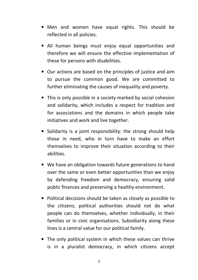- Men and women have equal rights. This should be reflected in all policies.
- All human beings must enjoy equal opportunities and therefore we will ensure the effective implementation of these for persons with disabilities.
- Our actions are based on the principles of justice and aim to pursue the common good. We are committed to further eliminating the causes of inequality and poverty.
- This is only possible in a society marked by social cohesion and solidarity, which includes a respect for tradition and for associations and the domains in which people take initiatives and work and live together.
- Solidarity is a joint responsibility: the strong should help those in need, who in turn have to make an effort themselves to improve their situation according to their abilities.
- We have an obligation towards future generations to hand over the same or even better opportunities than we enjoy by defending freedom and democracy, ensuring solid public finances and preserving a healthy environment.
- Political decisions should be taken as closely as possible to the citizens; political authorities should not do what people can do themselves, whether individually, in their families or in civic organisations. Subsidiarity along these lines is a central value for our political family.
- The only political system in which these values can thrive is in a pluralist democracy, in which citizens accept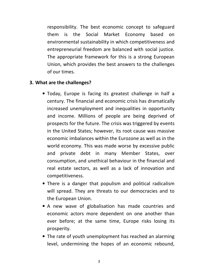responsibility. The best economic concept to safeguard them is the Social Market Economy based environmental sustainability in which competitiveness and entrepreneurial freedom are balanced with social justice. The appropriate framework for this is a strong European Union, which provides the best answers to the challenges of our times.

#### **3. What are the challenges?**

- Today, Europe is facing its greatest challenge in half a century. The financial and economic crisis has dramatically increased unemployment and inequalities in opportunity and income. Millions of people are being deprived of prospects for the future. The crisis was triggered by events in the United States; however, its root cause was massive economic imbalances within the Eurozone as well as in the world economy. This was made worse by excessive public and private debt in many Member States, over consumption, and unethical behaviour in the financial and real estate sectors, as well as a lack of innovation and competitiveness.
- There is a danger that populism and political radicalism will spread. They are threats to our democracies and to the European Union.
- A new wave of globalisation has made countries and economic actors more dependent on one another than ever before; at the same time, Europe risks losing its prosperity.
- The rate of youth unemployment has reached an alarming level, undermining the hopes of an economic rebound,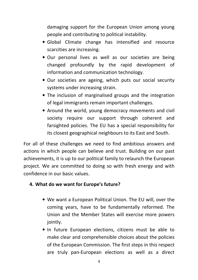damaging support for the European Union among young people and contributing to political instability.

- Global Climate change has intensified and resource scarcities are increasing.
- Our personal lives as well as our societies are being changed profoundly by the rapid development of information and communication technology.
- Our societies are ageing, which puts our social security systems under increasing strain.
- The inclusion of marginalised groups and the integration of legal immigrants remain important challenges.
- Around the world, young democracy movements and civil society require our support through coherent and farsighted policies. The EU has a special responsibility for its closest geographical neighbours to its East and South.

For all of these challenges we need to find ambitious answers and actions in which people can believe and trust. Building on our past achievements, it is up to our political family to relaunch the European project. We are committed to doing so with fresh energy and with confidence in our basic values.

#### **4. What do we want for Europe's future?**

- We want a European Political Union. The EU will, over the coming years, have to be fundamentally reformed. The Union and the Member States will exercise more powers jointly.
- In future European elections, citizens must be able to make clear and comprehensible choices about the policies of the European Commission. The first steps in this respect are truly pan-European elections as well as a direct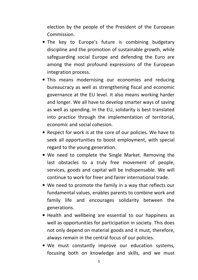election by the people of the President of the European Commission.

- The key to Europe's future is combining budgetary discipline and the promotion of sustainable growth, while safeguarding social Europe and defending the Euro are among the most profound expressions of the European integration process.
- This means modernising our economies and reducing bureaucracy as well as strengthening fiscal and economic governance at the EU level. It also means working harder and longer. We all have to develop smarter ways of saving as well as spending. In the EU, solidarity is best translated into practice through the implementation of territorial, economic and social cohesion.
- Respect for work is at the core of our policies. We have to seek all opportunities to boost employment, with special regard to the young generation.
- We need to complete the Single Market. Removing the last obstacles to a truly free movement of people, services, goods and capital will be indispensable. We will continue to work for freer and fairer international trade.
- We need to promote the family in a way that reflects our fundamental values, enables parents to combine work and family life and encourages solidarity between the generations.
- Health and wellbeing are essential to our happiness as well as opportunities for participation in society. This does not only depend on material goods and it must, therefore, always remain in the central focus of our policies.
- We must constantly improve our education systems, focusing both on knowledge and skills, and we must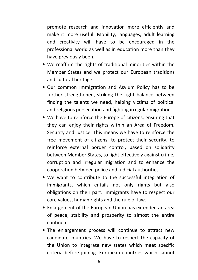promote research and innovation more efficiently and make it more useful. Mobility, languages, adult learning and creativity will have to be encouraged in the professional world as well as in education more than they have previously been.

- We reaffirm the rights of traditional minorities within the Member States and we protect our European traditions and cultural heritage.
- Our common Immigration and Asylum Policy has to be further strengthened, striking the right balance between finding the talents we need, helping victims of political and religious persecution and fighting irregular migration.
- We have to reinforce the Europe of citizens, ensuring that they can enjoy their rights within an Area of Freedom, Security and Justice. This means we have to reinforce the free movement of citizens, to protect their security, to reinforce external border control, based on solidarity between Member States, to fight effectively against crime, corruption and irregular migration and to enhance the cooperation between police and judicial authorities.
- We want to contribute to the successful integration of immigrants, which entails not only rights but also obligations on their part. Immigrants have to respect our core values, human rights and the rule of law.
- Enlargement of the European Union has extended an area of peace, stability and prosperity to almost the entire continent.
- The enlargement process will continue to attract new candidate countries. We have to respect the capacity of the Union to integrate new states which meet specific criteria before joining. European countries which cannot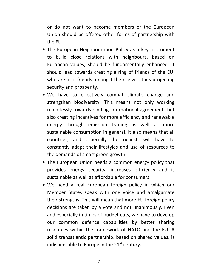or do not want to become members of the European Union should be offered other forms of partnership with the EU.

- The European Neighbourhood Policy as a key instrument to build close relations with neighbours, based on European values, should be fundamentally enhanced. It should lead towards creating a ring of friends of the EU, who are also friends amongst themselves, thus projecting security and prosperity.
- We have to effectively combat climate change and strengthen biodiversity. This means not only working relentlessly towards binding international agreements but also creating incentives for more efficiency and renewable energy through emission trading as well as more sustainable consumption in general. It also means that all countries, and especially the richest, will have to constantly adapt their lifestyles and use of resources to the demands of smart green growth.
- The European Union needs a common energy policy that provides energy security, increases efficiency and is sustainable as well as affordable for consumers.
- We need a real European foreign policy in which our Member States speak with one voice and amalgamate their strengths. This will mean that more EU foreign policy decisions are taken by a vote and not unanimously. Even and especially in times of budget cuts, we have to develop our common defence capabilities by better sharing resources within the framework of NATO and the EU. A solid transatlantic partnership, based on shared values, is indispensable to Europe in the  $21<sup>st</sup>$  century.